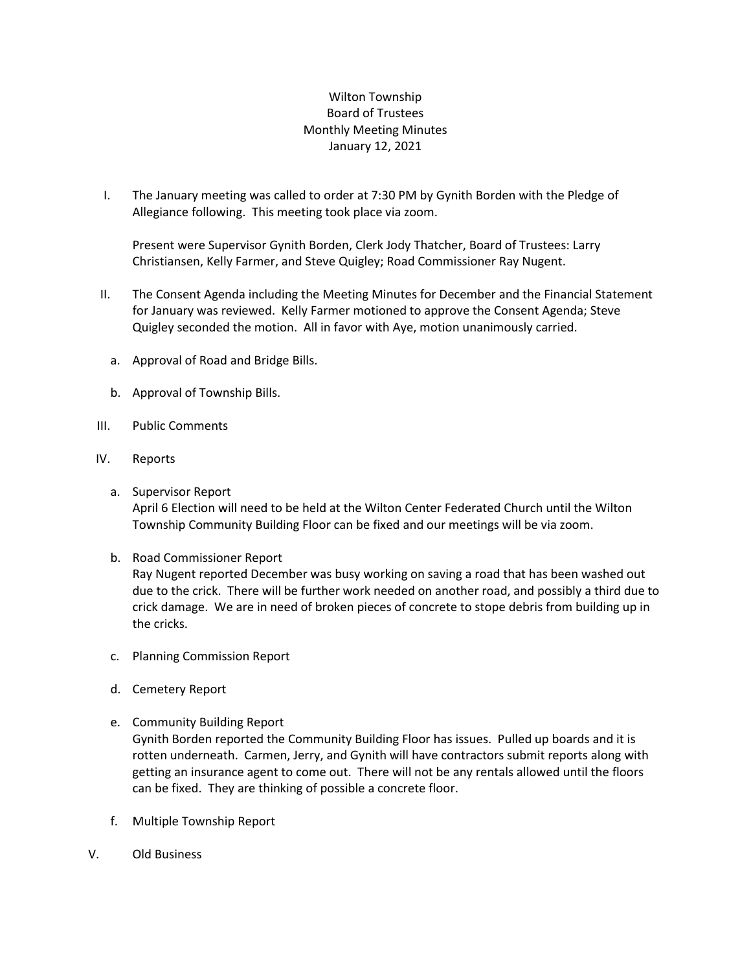## Wilton Township Board of Trustees Monthly Meeting Minutes January 12, 2021

I. The January meeting was called to order at 7:30 PM by Gynith Borden with the Pledge of Allegiance following. This meeting took place via zoom.

Present were Supervisor Gynith Borden, Clerk Jody Thatcher, Board of Trustees: Larry Christiansen, Kelly Farmer, and Steve Quigley; Road Commissioner Ray Nugent.

- II. The Consent Agenda including the Meeting Minutes for December and the Financial Statement for January was reviewed. Kelly Farmer motioned to approve the Consent Agenda; Steve Quigley seconded the motion. All in favor with Aye, motion unanimously carried.
	- a. Approval of Road and Bridge Bills.
	- b. Approval of Township Bills.
- III. Public Comments
- IV. Reports
	- a. Supervisor Report April 6 Election will need to be held at the Wilton Center Federated Church until the Wilton Township Community Building Floor can be fixed and our meetings will be via zoom.
	- b. Road Commissioner Report

Ray Nugent reported December was busy working on saving a road that has been washed out due to the crick. There will be further work needed on another road, and possibly a third due to crick damage. We are in need of broken pieces of concrete to stope debris from building up in the cricks.

- c. Planning Commission Report
- d. Cemetery Report
- e. Community Building Report

Gynith Borden reported the Community Building Floor has issues. Pulled up boards and it is rotten underneath. Carmen, Jerry, and Gynith will have contractors submit reports along with getting an insurance agent to come out. There will not be any rentals allowed until the floors can be fixed. They are thinking of possible a concrete floor.

- f. Multiple Township Report
- V. Old Business